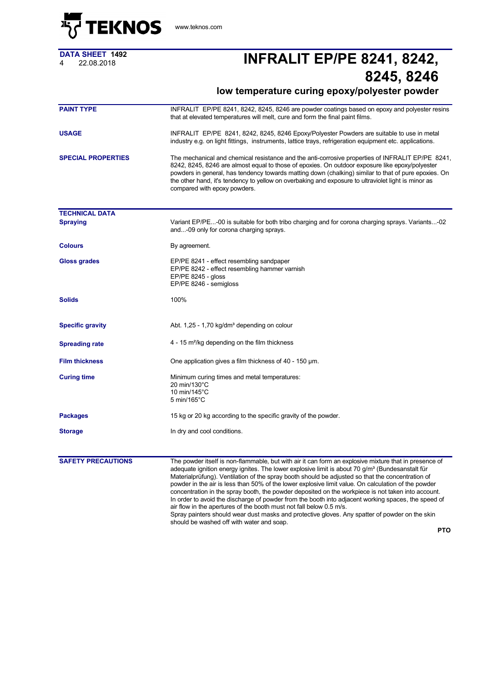

<www.teknos.com>

**DATA SHEET 1492**

## <sup>4</sup> 22.08.2018 **INFRALIT EP/PE 8241, 8242, 8245, 8246**

## **low temperature curing epoxy/polyester powder**

| <b>PAINT TYPE</b>         | INFRALIT EP/PE 8241, 8242, 8245, 8246 are powder coatings based on epoxy and polyester resins<br>that at elevated temperatures will melt, cure and form the final paint films.<br>INFRALIT EP/PE 8241, 8242, 8245, 8246 Epoxy/Polyester Powders are suitable to use in metal<br>industry e.g. on light fittings, instruments, lattice trays, refrigeration equipment etc. applications.<br>The mechanical and chemical resistance and the anti-corrosive properties of INFRALIT EP/PE 8241,<br>8242, 8245, 8246 are almost equal to those of epoxies. On outdoor exposure like epoxy/polyester<br>powders in general, has tendency towards matting down (chalking) similar to that of pure epoxies. On<br>the other hand, it's tendency to yellow on overbaking and exposure to ultraviolet light is minor as<br>compared with epoxy powders.                       |  |
|---------------------------|---------------------------------------------------------------------------------------------------------------------------------------------------------------------------------------------------------------------------------------------------------------------------------------------------------------------------------------------------------------------------------------------------------------------------------------------------------------------------------------------------------------------------------------------------------------------------------------------------------------------------------------------------------------------------------------------------------------------------------------------------------------------------------------------------------------------------------------------------------------------|--|
| <b>USAGE</b>              |                                                                                                                                                                                                                                                                                                                                                                                                                                                                                                                                                                                                                                                                                                                                                                                                                                                                     |  |
| <b>SPECIAL PROPERTIES</b> |                                                                                                                                                                                                                                                                                                                                                                                                                                                                                                                                                                                                                                                                                                                                                                                                                                                                     |  |
| <b>TECHNICAL DATA</b>     |                                                                                                                                                                                                                                                                                                                                                                                                                                                                                                                                                                                                                                                                                                                                                                                                                                                                     |  |
| <b>Spraying</b>           | Variant EP/PE-00 is suitable for both tribo charging and for corona charging sprays. Variants-02<br>and-09 only for corona charging sprays.                                                                                                                                                                                                                                                                                                                                                                                                                                                                                                                                                                                                                                                                                                                         |  |
| <b>Colours</b>            | By agreement.                                                                                                                                                                                                                                                                                                                                                                                                                                                                                                                                                                                                                                                                                                                                                                                                                                                       |  |
| Gloss grades              | EP/PE 8241 - effect resembling sandpaper<br>EP/PE 8242 - effect resembling hammer varnish<br>EP/PE 8245 - gloss<br>EP/PE 8246 - semigloss                                                                                                                                                                                                                                                                                                                                                                                                                                                                                                                                                                                                                                                                                                                           |  |
| <b>Solids</b>             | 100%                                                                                                                                                                                                                                                                                                                                                                                                                                                                                                                                                                                                                                                                                                                                                                                                                                                                |  |
| <b>Specific gravity</b>   | Abt. 1,25 - 1,70 kg/dm <sup>3</sup> depending on colour                                                                                                                                                                                                                                                                                                                                                                                                                                                                                                                                                                                                                                                                                                                                                                                                             |  |
| <b>Spreading rate</b>     | $4 - 15$ m <sup>2</sup> /kg depending on the film thickness                                                                                                                                                                                                                                                                                                                                                                                                                                                                                                                                                                                                                                                                                                                                                                                                         |  |
| <b>Film thickness</b>     | One application gives a film thickness of 40 - 150 µm.                                                                                                                                                                                                                                                                                                                                                                                                                                                                                                                                                                                                                                                                                                                                                                                                              |  |
| <b>Curing time</b>        | Minimum curing times and metal temperatures:<br>20 min/130°C<br>10 min/145°C<br>$5 \text{ min}/165^{\circ} \text{C}$                                                                                                                                                                                                                                                                                                                                                                                                                                                                                                                                                                                                                                                                                                                                                |  |
| <b>Packages</b>           | 15 kg or 20 kg according to the specific gravity of the powder.                                                                                                                                                                                                                                                                                                                                                                                                                                                                                                                                                                                                                                                                                                                                                                                                     |  |
| <b>Storage</b>            | In dry and cool conditions.                                                                                                                                                                                                                                                                                                                                                                                                                                                                                                                                                                                                                                                                                                                                                                                                                                         |  |
| <b>SAFETY PRECAUTIONS</b> | The powder itself is non-flammable, but with air it can form an explosive mixture that in presence of<br>adequate ignition energy ignites. The lower explosive limit is about 70 g/m <sup>3</sup> (Bundesanstalt für<br>Material prufung). Ventilation of the spray booth should be adjusted so that the concentration of<br>powder in the air is less than 50% of the lower explosive limit value. On calculation of the powder<br>concentration in the spray booth, the powder deposited on the workpiece is not taken into account.<br>In order to avoid the discharge of powder from the booth into adjacent working spaces, the speed of<br>air flow in the apertures of the booth must not fall below 0.5 m/s.<br>Spray painters should wear dust masks and protective gloves. Any spatter of powder on the skin<br>should be washed off with water and soap. |  |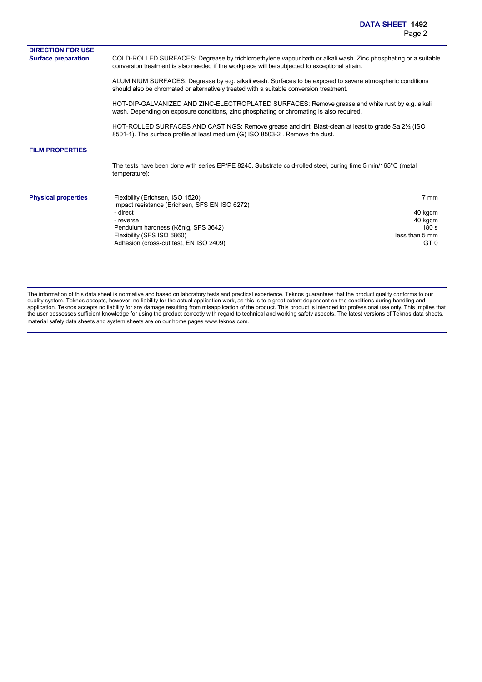| conversion treatment is also needed if the workpiece will be subjected to exceptional strain.                                                                                                                             |                                                                                                                                                                                                                                                                                                                                                                 |
|---------------------------------------------------------------------------------------------------------------------------------------------------------------------------------------------------------------------------|-----------------------------------------------------------------------------------------------------------------------------------------------------------------------------------------------------------------------------------------------------------------------------------------------------------------------------------------------------------------|
| ALUMINIUM SURFACES: Degrease by e.g. alkali wash. Surfaces to be exposed to severe atmospheric conditions<br>should also be chromated or alternatively treated with a suitable conversion treatment.                      |                                                                                                                                                                                                                                                                                                                                                                 |
| HOT-DIP-GALVANIZED AND ZINC-ELECTROPLATED SURFACES: Remove grease and white rust by e.g. alkali<br>wash. Depending on exposure conditions, zinc phosphating or chromating is also required.                               |                                                                                                                                                                                                                                                                                                                                                                 |
| 8501-1). The surface profile at least medium (G) ISO 8503-2. Remove the dust.                                                                                                                                             |                                                                                                                                                                                                                                                                                                                                                                 |
|                                                                                                                                                                                                                           |                                                                                                                                                                                                                                                                                                                                                                 |
| temperature):                                                                                                                                                                                                             |                                                                                                                                                                                                                                                                                                                                                                 |
| Flexibility (Erichsen, ISO 1520)<br>Impact resistance (Erichsen, SFS EN ISO 6272)<br>- direct<br>- reverse<br>Pendulum hardness (König, SFS 3642)<br>Flexibility (SFS ISO 6860)<br>Adhesion (cross-cut test, EN ISO 2409) | 7 mm<br>40 kgcm<br>40 kgcm<br>180 s<br>less than 5 mm<br>GT <sub>0</sub>                                                                                                                                                                                                                                                                                        |
|                                                                                                                                                                                                                           | COLD-ROLLED SURFACES: Degrease by trichloroethylene vapour bath or alkali wash. Zinc phosphating or a suitable<br>HOT-ROLLED SURFACES AND CASTINGS: Remove grease and dirt. Blast-clean at least to grade Sa 2 <sup>1</sup> / <sub>2</sub> (ISO<br>The tests have been done with series EP/PE 8245. Substrate cold-rolled steel, curing time 5 min/165°C (metal |

The information of this data sheet is normative and based on laboratory tests and practical experience. Teknos guarantees that the product quality conforms to our quality system. Teknos accepts, however, no liability for the actual application work, as this is to a great extent dependent on the conditions during handling and application. Teknos accepts no liability for any damage resulting from misapplication of the product. This product is intended for professional use only. This implies that the user possesses sufficient knowledge for using the product correctly with regard to technical and working safety aspects. The latest versions of Teknos data sheets, material safety data sheets and system sheets are on our home pages www.teknos.com.